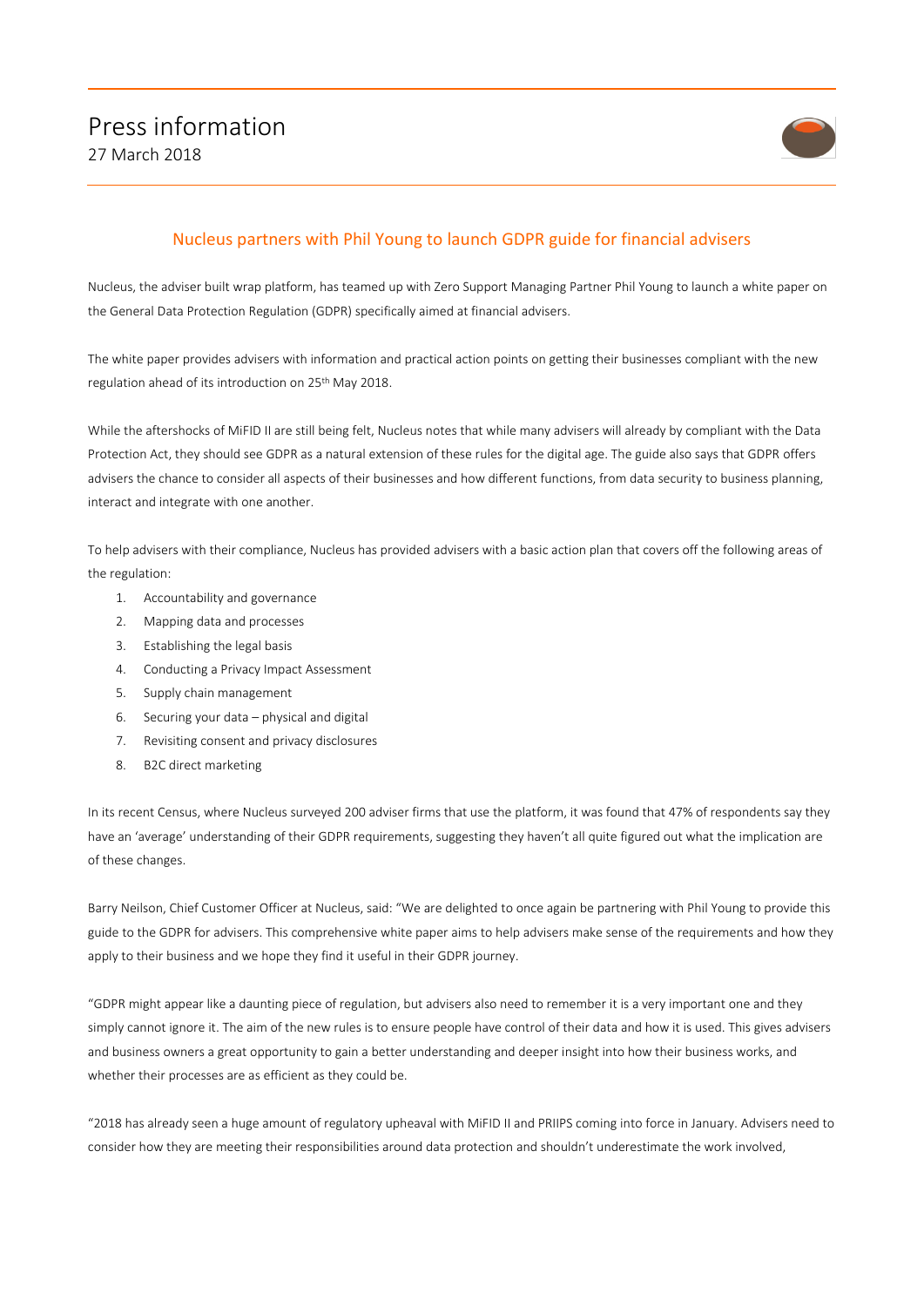

## Nucleus partners with Phil Young to launch GDPR guide for financial advisers

Nucleus, the adviser built wrap platform, has teamed up with Zero Support Managing Partner Phil Young to launch a white paper on the General Data Protection Regulation (GDPR) specifically aimed at financial advisers.

The white paper provides advisers with information and practical action points on getting their businesses compliant with the new regulation ahead of its introduction on 25th May 2018.

While the aftershocks of MiFID II are still being felt, Nucleus notes that while many advisers will already by compliant with the Data Protection Act, they should see GDPR as a natural extension of these rules for the digital age. The guide also says that GDPR offers advisers the chance to consider all aspects of their businesses and how different functions, from data security to business planning, interact and integrate with one another.

To help advisers with their compliance, Nucleus has provided advisers with a basic action plan that covers off the following areas of the regulation:

- 1. Accountability and governance
- 2. Mapping data and processes
- 3. Establishing the legal basis
- 4. Conducting a Privacy Impact Assessment
- 5. Supply chain management
- 6. Securing your data physical and digital
- 7. Revisiting consent and privacy disclosures
- 8. B2C direct marketing

In its recent Census, where Nucleus surveyed 200 adviser firms that use the platform, it was found that 47% of respondents say they have an 'average' understanding of their GDPR requirements, suggesting they haven't all quite figured out what the implication are of these changes.

Barry Neilson, Chief Customer Officer at Nucleus, said: "We are delighted to once again be partnering with Phil Young to provide this guide to the GDPR for advisers. This comprehensive white paper aims to help advisers make sense of the requirements and how they apply to their business and we hope they find it useful in their GDPR journey.

"GDPR might appear like a daunting piece of regulation, but advisers also need to remember it is a very important one and they simply cannot ignore it. The aim of the new rules is to ensure people have control of their data and how it is used. This gives advisers and business owners a great opportunity to gain a better understanding and deeper insight into how their business works, and whether their processes are as efficient as they could be.

"2018 has already seen a huge amount of regulatory upheaval with MiFID II and PRIIPS coming into force in January. Advisers need to consider how they are meeting their responsibilities around data protection and shouldn't underestimate the work involved,